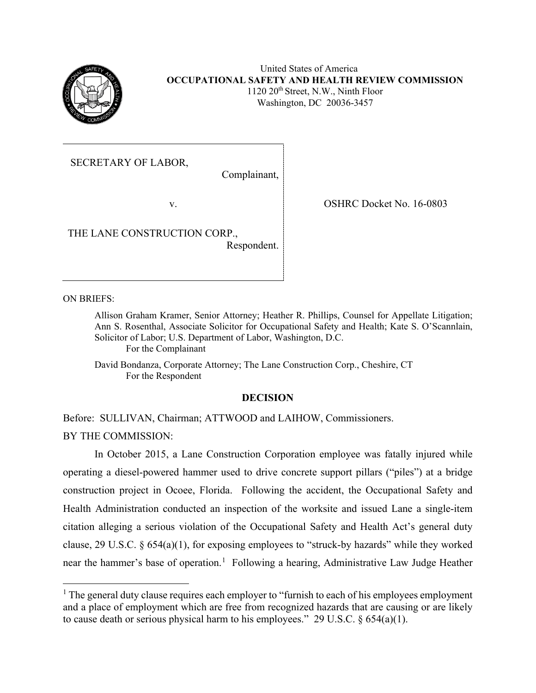

United States of America **OCCUPATIONAL SAFETY AND HEALTH REVIEW COMMISSION**  $1120 \ 20$ <sup>th</sup> Street, N.W., Ninth Floor Washington, DC 20036-3457

SECRETARY OF LABOR,

Complainant,

v.

THE LANE CONSTRUCTION CORP.,

Respondent.

OSHRC Docket No. 16-0803

ON BRIEFS:

Allison Graham Kramer, Senior Attorney; Heather R. Phillips, Counsel for Appellate Litigation; Ann S. Rosenthal, Associate Solicitor for Occupational Safety and Health; Kate S. O'Scannlain, Solicitor of Labor; U.S. Department of Labor, Washington, D.C. For the Complainant

David Bondanza, Corporate Attorney; The Lane Construction Corp., Cheshire, CT For the Respondent

# **DECISION**

Before: SULLIVAN, Chairman; ATTWOOD and LAIHOW, Commissioners.

BY THE COMMISSION:

In October 2015, a Lane Construction Corporation employee was fatally injured while operating a diesel-powered hammer used to drive concrete support pillars ("piles") at a bridge construction project in Ocoee, Florida. Following the accident, the Occupational Safety and Health Administration conducted an inspection of the worksite and issued Lane a single-item citation alleging a serious violation of the Occupational Safety and Health Act's general duty clause, 29 U.S.C. § 654(a)(1), for exposing employees to "struck-by hazards" while they worked near the hammer's base of operation.<sup>[1](#page-0-0)</sup> Following a hearing, Administrative Law Judge Heather

<span id="page-0-0"></span> $<sup>1</sup>$  The general duty clause requires each employer to "furnish to each of his employees employment</sup> and a place of employment which are free from recognized hazards that are causing or are likely to cause death or serious physical harm to his employees." 29 U.S.C.  $\S 654(a)(1)$ .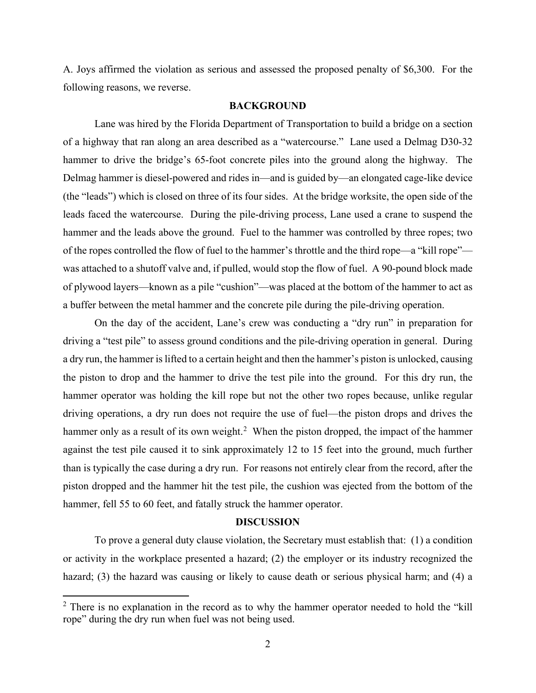A. Joys affirmed the violation as serious and assessed the proposed penalty of \$6,300. For the following reasons, we reverse.

### **BACKGROUND**

Lane was hired by the Florida Department of Transportation to build a bridge on a section of a highway that ran along an area described as a "watercourse." Lane used a Delmag D30-32 hammer to drive the bridge's 65-foot concrete piles into the ground along the highway. The Delmag hammer is diesel-powered and rides in—and is guided by—an elongated cage-like device (the "leads") which is closed on three of its four sides. At the bridge worksite, the open side of the leads faced the watercourse. During the pile-driving process, Lane used a crane to suspend the hammer and the leads above the ground. Fuel to the hammer was controlled by three ropes; two of the ropes controlled the flow of fuel to the hammer's throttle and the third rope—a "kill rope" was attached to a shutoff valve and, if pulled, would stop the flow of fuel. A 90-pound block made of plywood layers—known as a pile "cushion"—was placed at the bottom of the hammer to act as a buffer between the metal hammer and the concrete pile during the pile-driving operation.

On the day of the accident, Lane's crew was conducting a "dry run" in preparation for driving a "test pile" to assess ground conditions and the pile-driving operation in general. During a dry run, the hammer is lifted to a certain height and then the hammer's piston is unlocked, causing the piston to drop and the hammer to drive the test pile into the ground. For this dry run, the hammer operator was holding the kill rope but not the other two ropes because, unlike regular driving operations, a dry run does not require the use of fuel—the piston drops and drives the hammer only as a result of its own weight.<sup>[2](#page-1-0)</sup> When the piston dropped, the impact of the hammer against the test pile caused it to sink approximately 12 to 15 feet into the ground, much further than is typically the case during a dry run. For reasons not entirely clear from the record, after the piston dropped and the hammer hit the test pile, the cushion was ejected from the bottom of the hammer, fell 55 to 60 feet, and fatally struck the hammer operator.

### **DISCUSSION**

To prove a general duty clause violation, the Secretary must establish that: (1) a condition or activity in the workplace presented a hazard; (2) the employer or its industry recognized the hazard; (3) the hazard was causing or likely to cause death or serious physical harm; and (4) a

<span id="page-1-0"></span> $2$  There is no explanation in the record as to why the hammer operator needed to hold the "kill" rope" during the dry run when fuel was not being used.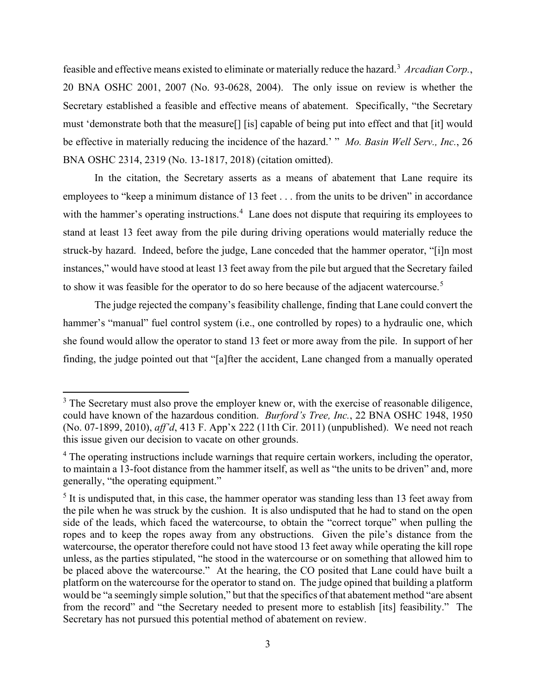feasible and effective means existed to eliminate or materially reduce the hazard.<sup>[3](#page-2-0)</sup> Arcadian Corp., 20 BNA OSHC 2001, 2007 (No. 93-0628, 2004). The only issue on review is whether the Secretary established a feasible and effective means of abatement. Specifically, "the Secretary must 'demonstrate both that the measure[] [is] capable of being put into effect and that [it] would be effective in materially reducing the incidence of the hazard.' " *Mo. Basin Well Serv., Inc.*, 26 BNA OSHC 2314, 2319 (No. 13-1817, 2018) (citation omitted).

In the citation, the Secretary asserts as a means of abatement that Lane require its employees to "keep a minimum distance of 13 feet . . . from the units to be driven" in accordance with the hammer's operating instructions.<sup>[4](#page-2-1)</sup> Lane does not dispute that requiring its employees to stand at least 13 feet away from the pile during driving operations would materially reduce the struck-by hazard. Indeed, before the judge, Lane conceded that the hammer operator, "[i]n most instances," would have stood at least 13 feet away from the pile but argued that the Secretary failed to show it was feasible for the operator to do so here because of the adjacent watercourse.<sup>[5](#page-2-2)</sup>

The judge rejected the company's feasibility challenge, finding that Lane could convert the hammer's "manual" fuel control system (i.e., one controlled by ropes) to a hydraulic one, which she found would allow the operator to stand 13 feet or more away from the pile. In support of her finding, the judge pointed out that "[a]fter the accident, Lane changed from a manually operated

<span id="page-2-0"></span><sup>&</sup>lt;sup>3</sup> The Secretary must also prove the employer knew or, with the exercise of reasonable diligence, could have known of the hazardous condition. *Burford's Tree, Inc.*, 22 BNA OSHC 1948, 1950 (No. 07-1899, 2010), *aff'd*, 413 F. App'x 222 (11th Cir. 2011) (unpublished). We need not reach this issue given our decision to vacate on other grounds.

<span id="page-2-1"></span><sup>&</sup>lt;sup>4</sup> The operating instructions include warnings that require certain workers, including the operator, to maintain a 13-foot distance from the hammer itself, as well as "the units to be driven" and, more generally, "the operating equipment."

<span id="page-2-2"></span> $<sup>5</sup>$  It is undisputed that, in this case, the hammer operator was standing less than 13 feet away from</sup> the pile when he was struck by the cushion. It is also undisputed that he had to stand on the open side of the leads, which faced the watercourse, to obtain the "correct torque" when pulling the ropes and to keep the ropes away from any obstructions. Given the pile's distance from the watercourse, the operator therefore could not have stood 13 feet away while operating the kill rope unless, as the parties stipulated, "he stood in the watercourse or on something that allowed him to be placed above the watercourse." At the hearing, the CO posited that Lane could have built a platform on the watercourse for the operator to stand on. The judge opined that building a platform would be "a seemingly simple solution," but that the specifics of that abatement method "are absent from the record" and "the Secretary needed to present more to establish [its] feasibility." The Secretary has not pursued this potential method of abatement on review.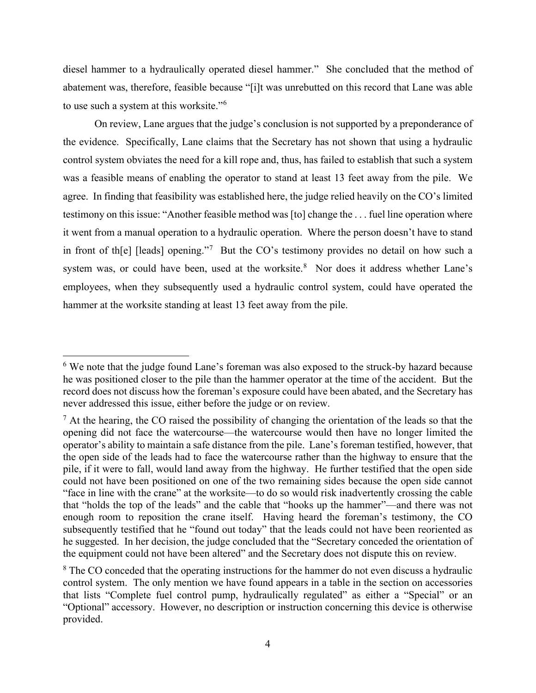diesel hammer to a hydraulically operated diesel hammer." She concluded that the method of abatement was, therefore, feasible because "[i]t was unrebutted on this record that Lane was able to use such a system at this worksite."<sup>[6](#page-3-0)</sup>

On review, Lane argues that the judge's conclusion is not supported by a preponderance of the evidence. Specifically, Lane claims that the Secretary has not shown that using a hydraulic control system obviates the need for a kill rope and, thus, has failed to establish that such a system was a feasible means of enabling the operator to stand at least 13 feet away from the pile. We agree. In finding that feasibility was established here, the judge relied heavily on the CO's limited testimony on this issue: "Another feasible method was [to] change the . . . fuel line operation where it went from a manual operation to a hydraulic operation. Where the person doesn't have to stand in front of th[e] [leads] opening."<sup>[7](#page-3-1)</sup> But the CO's testimony provides no detail on how such a system was, or could have been, used at the worksite.<sup>[8](#page-3-2)</sup> Nor does it address whether Lane's employees, when they subsequently used a hydraulic control system, could have operated the hammer at the worksite standing at least 13 feet away from the pile.

<span id="page-3-0"></span><sup>&</sup>lt;sup>6</sup> We note that the judge found Lane's foreman was also exposed to the struck-by hazard because he was positioned closer to the pile than the hammer operator at the time of the accident. But the record does not discuss how the foreman's exposure could have been abated, and the Secretary has never addressed this issue, either before the judge or on review.

<span id="page-3-1"></span> $<sup>7</sup>$  At the hearing, the CO raised the possibility of changing the orientation of the leads so that the</sup> opening did not face the watercourse—the watercourse would then have no longer limited the operator's ability to maintain a safe distance from the pile. Lane's foreman testified, however, that the open side of the leads had to face the watercourse rather than the highway to ensure that the pile, if it were to fall, would land away from the highway. He further testified that the open side could not have been positioned on one of the two remaining sides because the open side cannot "face in line with the crane" at the worksite—to do so would risk inadvertently crossing the cable that "holds the top of the leads" and the cable that "hooks up the hammer"—and there was not enough room to reposition the crane itself. Having heard the foreman's testimony, the CO subsequently testified that he "found out today" that the leads could not have been reoriented as he suggested. In her decision, the judge concluded that the "Secretary conceded the orientation of the equipment could not have been altered" and the Secretary does not dispute this on review.

<span id="page-3-2"></span><sup>&</sup>lt;sup>8</sup> The CO conceded that the operating instructions for the hammer do not even discuss a hydraulic control system. The only mention we have found appears in a table in the section on accessories that lists "Complete fuel control pump, hydraulically regulated" as either a "Special" or an "Optional" accessory. However, no description or instruction concerning this device is otherwise provided.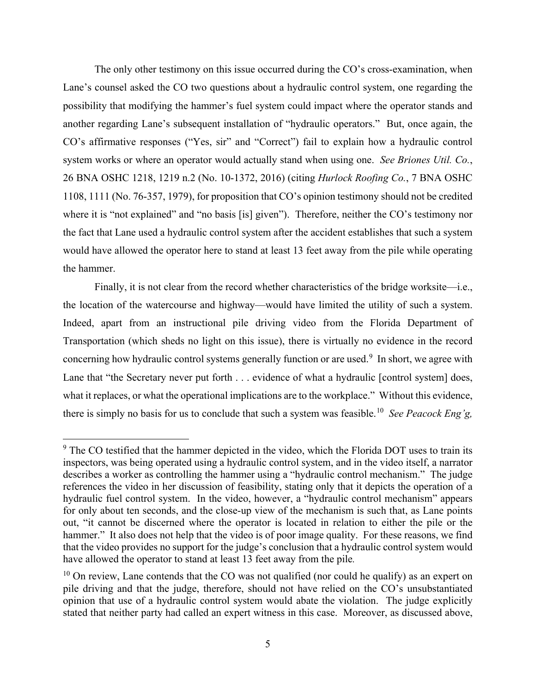The only other testimony on this issue occurred during the CO's cross-examination, when Lane's counsel asked the CO two questions about a hydraulic control system, one regarding the possibility that modifying the hammer's fuel system could impact where the operator stands and another regarding Lane's subsequent installation of "hydraulic operators." But, once again, the CO's affirmative responses ("Yes, sir" and "Correct") fail to explain how a hydraulic control system works or where an operator would actually stand when using one. *See Briones Util. Co.*, 26 BNA OSHC 1218, 1219 n.2 (No. 10-1372, 2016) (citing *Hurlock Roofing Co.*, 7 BNA OSHC 1108, 1111 (No. 76-357, 1979), for proposition that CO's opinion testimony should not be credited where it is "not explained" and "no basis [is] given"). Therefore, neither the CO's testimony nor the fact that Lane used a hydraulic control system after the accident establishes that such a system would have allowed the operator here to stand at least 13 feet away from the pile while operating the hammer.

Finally, it is not clear from the record whether characteristics of the bridge worksite—i.e., the location of the watercourse and highway—would have limited the utility of such a system. Indeed, apart from an instructional pile driving video from the Florida Department of Transportation (which sheds no light on this issue), there is virtually no evidence in the record concerning how hydraulic control systems generally function or are used.<sup>[9](#page-4-0)</sup> In short, we agree with Lane that "the Secretary never put forth . . . evidence of what a hydraulic [control system] does, what it replaces, or what the operational implications are to the workplace." Without this evidence, there is simply no basis for us to conclude that such a system was feasible.[10](#page-4-1) *See Peacock Eng'g,* 

<span id="page-4-0"></span><sup>&</sup>lt;sup>9</sup> The CO testified that the hammer depicted in the video, which the Florida DOT uses to train its inspectors, was being operated using a hydraulic control system, and in the video itself, a narrator describes a worker as controlling the hammer using a "hydraulic control mechanism." The judge references the video in her discussion of feasibility, stating only that it depicts the operation of a hydraulic fuel control system. In the video, however, a "hydraulic control mechanism" appears for only about ten seconds, and the close-up view of the mechanism is such that, as Lane points out, "it cannot be discerned where the operator is located in relation to either the pile or the hammer." It also does not help that the video is of poor image quality. For these reasons, we find that the video provides no support for the judge's conclusion that a hydraulic control system would have allowed the operator to stand at least 13 feet away from the pile*.*

<span id="page-4-1"></span> $10$  On review, Lane contends that the CO was not qualified (nor could he qualify) as an expert on pile driving and that the judge, therefore, should not have relied on the CO's unsubstantiated opinion that use of a hydraulic control system would abate the violation. The judge explicitly stated that neither party had called an expert witness in this case. Moreover, as discussed above,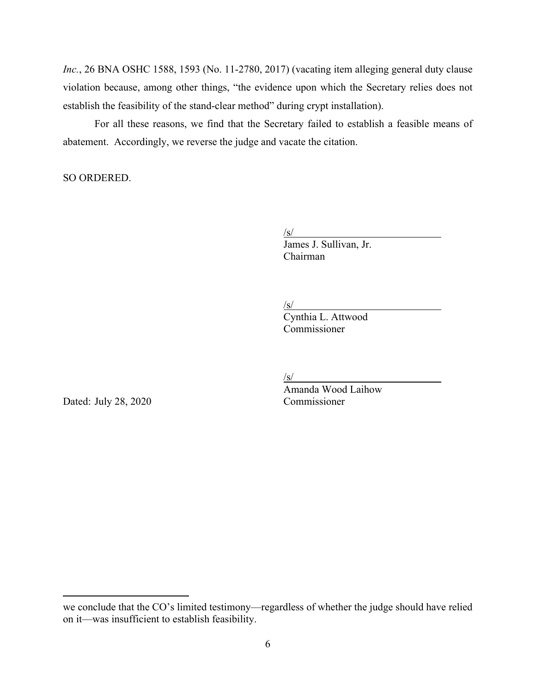*Inc.*, 26 BNA OSHC 1588, 1593 (No. 11-2780, 2017) (vacating item alleging general duty clause violation because, among other things, "the evidence upon which the Secretary relies does not establish the feasibility of the stand-clear method" during crypt installation).

For all these reasons, we find that the Secretary failed to establish a feasible means of abatement.Accordingly, we reverse the judge and vacate the citation.

SO ORDERED.

/s/

James J. Sullivan, Jr. Chairman

 $\sqrt{s}$ /

Cynthia L. Attwood Commissioner

Dated: July 28, 2020 Commissioner

/s/

Amanda Wood Laihow

we conclude that the CO's limited testimony—regardless of whether the judge should have relied on it—was insufficient to establish feasibility.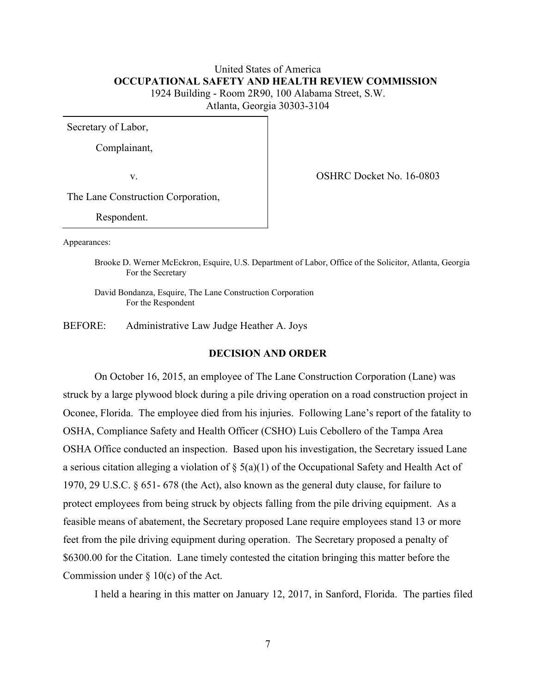# United States of America  **OCCUPATIONAL SAFETY AND HEALTH REVIEW COMMISSION** 1924 Building - Room 2R90, 100 Alabama Street, S.W. Atlanta, Georgia 30303-3104

Secretary of Labor,

Complainant,

v. COSHRC Docket No. 16-0803

The Lane Construction Corporation,

Respondent.

Appearances:

Brooke D. Werner McEckron, Esquire, U.S. Department of Labor, Office of the Solicitor, Atlanta, Georgia For the Secretary

David Bondanza, Esquire, The Lane Construction Corporation For the Respondent

BEFORE: Administrative Law Judge Heather A. Joys

### **DECISION AND ORDER**

On October 16, 2015, an employee of The Lane Construction Corporation (Lane) was struck by a large plywood block during a pile driving operation on a road construction project in Oconee, Florida. The employee died from his injuries. Following Lane's report of the fatality to OSHA, Compliance Safety and Health Officer (CSHO) Luis Cebollero of the Tampa Area OSHA Office conducted an inspection. Based upon his investigation, the Secretary issued Lane a serious citation alleging a violation of  $\S(5(a)(1))$  of the Occupational Safety and Health Act of 1970, 29 U.S.C. § 651- 678 (the Act), also known as the general duty clause, for failure to protect employees from being struck by objects falling from the pile driving equipment. As a feasible means of abatement, the Secretary proposed Lane require employees stand 13 or more feet from the pile driving equipment during operation. The Secretary proposed a penalty of \$6300.00 for the Citation. Lane timely contested the citation bringing this matter before the Commission under  $\S 10(c)$  of the Act.

I held a hearing in this matter on January 12, 2017, in Sanford, Florida. The parties filed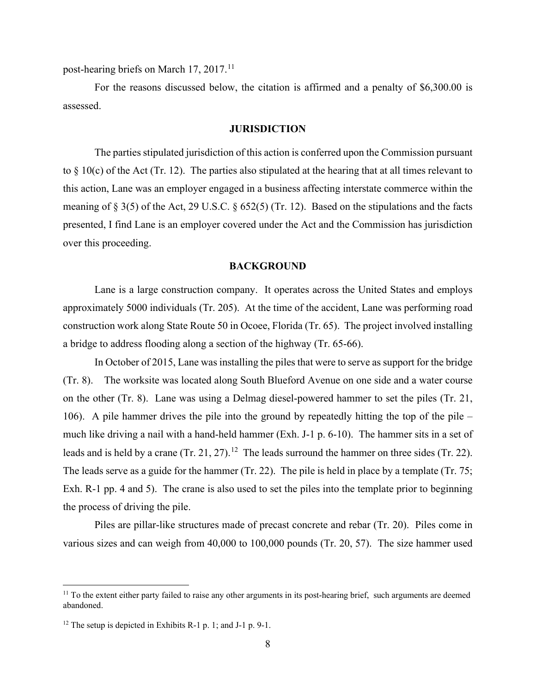post-hearing briefs on March 17, 2017.<sup>[11](#page-7-0)</sup>

For the reasons discussed below, the citation is affirmed and a penalty of \$6,300.00 is assessed.

### **JURISDICTION**

The parties stipulated jurisdiction of this action is conferred upon the Commission pursuant to  $\S$  10(c) of the Act (Tr. 12). The parties also stipulated at the hearing that at all times relevant to this action, Lane was an employer engaged in a business affecting interstate commerce within the meaning of § 3(5) of the Act, 29 U.S.C. § 652(5) (Tr. 12). Based on the stipulations and the facts presented, I find Lane is an employer covered under the Act and the Commission has jurisdiction over this proceeding.

## **BACKGROUND**

Lane is a large construction company. It operates across the United States and employs approximately 5000 individuals (Tr. 205). At the time of the accident, Lane was performing road construction work along State Route 50 in Ocoee, Florida (Tr. 65). The project involved installing a bridge to address flooding along a section of the highway (Tr. 65-66).

In October of 2015, Lane was installing the piles that were to serve as support for the bridge (Tr. 8). The worksite was located along South Blueford Avenue on one side and a water course on the other (Tr. 8). Lane was using a Delmag diesel-powered hammer to set the piles (Tr. 21, 106). A pile hammer drives the pile into the ground by repeatedly hitting the top of the pile – much like driving a nail with a hand-held hammer (Exh. J-1 p. 6-10). The hammer sits in a set of leads and is held by a crane  $(Tr. 21, 27)$ .<sup>12</sup> The leads surround the hammer on three sides  $(Tr. 22)$ . The leads serve as a guide for the hammer (Tr. 22). The pile is held in place by a template (Tr. 75; Exh. R-1 pp. 4 and 5). The crane is also used to set the piles into the template prior to beginning the process of driving the pile.

Piles are pillar-like structures made of precast concrete and rebar (Tr. 20). Piles come in various sizes and can weigh from 40,000 to 100,000 pounds (Tr. 20, 57). The size hammer used

<span id="page-7-0"></span> $11$  To the extent either party failed to raise any other arguments in its post-hearing brief, such arguments are deemed abandoned.

<span id="page-7-1"></span><sup>&</sup>lt;sup>12</sup> The setup is depicted in Exhibits R-1 p. 1; and J-1 p. 9-1.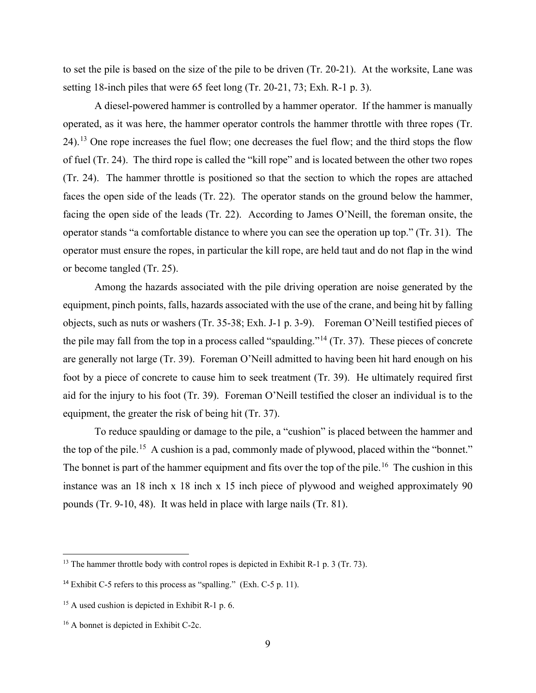to set the pile is based on the size of the pile to be driven (Tr. 20-21). At the worksite, Lane was setting 18-inch piles that were 65 feet long (Tr. 20-21, 73; Exh. R-1 p. 3).

A diesel-powered hammer is controlled by a hammer operator. If the hammer is manually operated, as it was here, the hammer operator controls the hammer throttle with three ropes (Tr. 24).[13](#page-8-0) One rope increases the fuel flow; one decreases the fuel flow; and the third stops the flow of fuel (Tr. 24). The third rope is called the "kill rope" and is located between the other two ropes (Tr. 24). The hammer throttle is positioned so that the section to which the ropes are attached faces the open side of the leads (Tr. 22). The operator stands on the ground below the hammer, facing the open side of the leads (Tr. 22). According to James O'Neill, the foreman onsite, the operator stands "a comfortable distance to where you can see the operation up top." (Tr. 31). The operator must ensure the ropes, in particular the kill rope, are held taut and do not flap in the wind or become tangled (Tr. 25).

Among the hazards associated with the pile driving operation are noise generated by the equipment, pinch points, falls, hazards associated with the use of the crane, and being hit by falling objects, such as nuts or washers (Tr. 35-38; Exh. J-1 p. 3-9). Foreman O'Neill testified pieces of the pile may fall from the top in a process called "spaulding."<sup>[14](#page-8-1)</sup> (Tr. 37). These pieces of concrete are generally not large (Tr. 39). Foreman O'Neill admitted to having been hit hard enough on his foot by a piece of concrete to cause him to seek treatment (Tr. 39). He ultimately required first aid for the injury to his foot (Tr. 39). Foreman O'Neill testified the closer an individual is to the equipment, the greater the risk of being hit (Tr. 37).

To reduce spaulding or damage to the pile, a "cushion" is placed between the hammer and the top of the pile.[15](#page-8-2) A cushion is a pad, commonly made of plywood, placed within the "bonnet." The bonnet is part of the hammer equipment and fits over the top of the pile.<sup>16</sup> The cushion in this instance was an 18 inch x 18 inch x 15 inch piece of plywood and weighed approximately 90 pounds (Tr. 9-10, 48). It was held in place with large nails (Tr. 81).

<span id="page-8-0"></span><sup>&</sup>lt;sup>13</sup> The hammer throttle body with control ropes is depicted in Exhibit R-1 p. 3 (Tr. 73).

<span id="page-8-1"></span><sup>&</sup>lt;sup>14</sup> Exhibit C-5 refers to this process as "spalling." (Exh. C-5 p. 11).

<span id="page-8-2"></span><sup>&</sup>lt;sup>15</sup> A used cushion is depicted in Exhibit R-1 p. 6.

<span id="page-8-3"></span><sup>16</sup> A bonnet is depicted in Exhibit C-2c.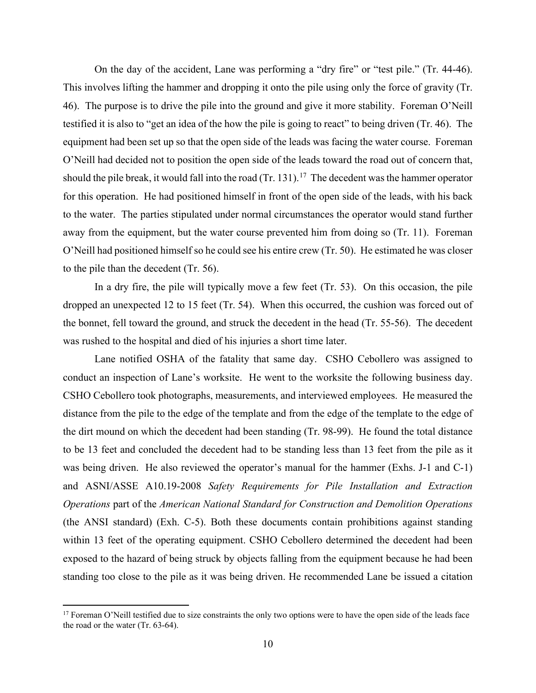On the day of the accident, Lane was performing a "dry fire" or "test pile." (Tr. 44-46). This involves lifting the hammer and dropping it onto the pile using only the force of gravity (Tr. 46). The purpose is to drive the pile into the ground and give it more stability. Foreman O'Neill testified it is also to "get an idea of the how the pile is going to react" to being driven (Tr. 46). The equipment had been set up so that the open side of the leads was facing the water course. Foreman O'Neill had decided not to position the open side of the leads toward the road out of concern that, should the pile break, it would fall into the road  $(Tr. 131).<sup>17</sup>$  $(Tr. 131).<sup>17</sup>$  $(Tr. 131).<sup>17</sup>$  The decedent was the hammer operator for this operation. He had positioned himself in front of the open side of the leads, with his back to the water. The parties stipulated under normal circumstances the operator would stand further away from the equipment, but the water course prevented him from doing so (Tr. 11). Foreman O'Neill had positioned himself so he could see his entire crew (Tr. 50). He estimated he was closer to the pile than the decedent (Tr. 56).

In a dry fire, the pile will typically move a few feet (Tr. 53). On this occasion, the pile dropped an unexpected 12 to 15 feet (Tr. 54). When this occurred, the cushion was forced out of the bonnet, fell toward the ground, and struck the decedent in the head (Tr. 55-56). The decedent was rushed to the hospital and died of his injuries a short time later.

Lane notified OSHA of the fatality that same day. CSHO Cebollero was assigned to conduct an inspection of Lane's worksite. He went to the worksite the following business day. CSHO Cebollero took photographs, measurements, and interviewed employees. He measured the distance from the pile to the edge of the template and from the edge of the template to the edge of the dirt mound on which the decedent had been standing (Tr. 98-99). He found the total distance to be 13 feet and concluded the decedent had to be standing less than 13 feet from the pile as it was being driven. He also reviewed the operator's manual for the hammer (Exhs. J-1 and C-1) and ASNI/ASSE A10.19-2008 *Safety Requirements for Pile Installation and Extraction Operations* part of the *American National Standard for Construction and Demolition Operations* (the ANSI standard) (Exh. C-5). Both these documents contain prohibitions against standing within 13 feet of the operating equipment. CSHO Cebollero determined the decedent had been exposed to the hazard of being struck by objects falling from the equipment because he had been standing too close to the pile as it was being driven. He recommended Lane be issued a citation

<span id="page-9-0"></span><sup>&</sup>lt;sup>17</sup> Foreman O'Neill testified due to size constraints the only two options were to have the open side of the leads face the road or the water (Tr. 63-64).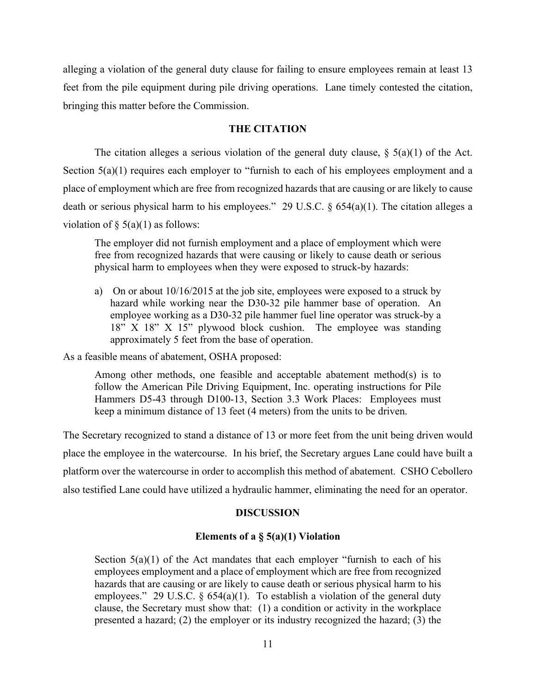alleging a violation of the general duty clause for failing to ensure employees remain at least 13 feet from the pile equipment during pile driving operations. Lane timely contested the citation, bringing this matter before the Commission.

## **THE CITATION**

The citation alleges a serious violation of the general duty clause,  $\S(5a)(1)$  of the Act. Section 5(a)(1) requires each employer to "furnish to each of his employees employment and a place of employment which are free from recognized hazards that are causing or are likely to cause death or serious physical harm to his employees." 29 U.S.C. § 654(a)(1). The citation alleges a violation of  $\S$  5(a)(1) as follows:

The employer did not furnish employment and a place of employment which were free from recognized hazards that were causing or likely to cause death or serious physical harm to employees when they were exposed to struck-by hazards:

a) On or about 10/16/2015 at the job site, employees were exposed to a struck by hazard while working near the D30-32 pile hammer base of operation. An employee working as a D30-32 pile hammer fuel line operator was struck-by a 18" X 18" X 15" plywood block cushion. The employee was standing approximately 5 feet from the base of operation.

As a feasible means of abatement, OSHA proposed:

Among other methods, one feasible and acceptable abatement method(s) is to follow the American Pile Driving Equipment, Inc. operating instructions for Pile Hammers D5-43 through D100-13, Section 3.3 Work Places: Employees must keep a minimum distance of 13 feet (4 meters) from the units to be driven.

The Secretary recognized to stand a distance of 13 or more feet from the unit being driven would place the employee in the watercourse. In his brief, the Secretary argues Lane could have built a platform over the watercourse in order to accomplish this method of abatement. CSHO Cebollero also testified Lane could have utilized a hydraulic hammer, eliminating the need for an operator.

## **DISCUSSION**

# **Elements of a § 5(a)(1) Violation**

Section  $5(a)(1)$  of the Act mandates that each employer "furnish to each of his employees employment and a place of employment which are free from recognized hazards that are causing or are likely to cause death or serious physical harm to his employees." 29 U.S.C.  $\S$  654(a)(1). To establish a violation of the general duty clause, the Secretary must show that: (1) a condition or activity in the workplace presented a hazard; (2) the employer or its industry recognized the hazard; (3) the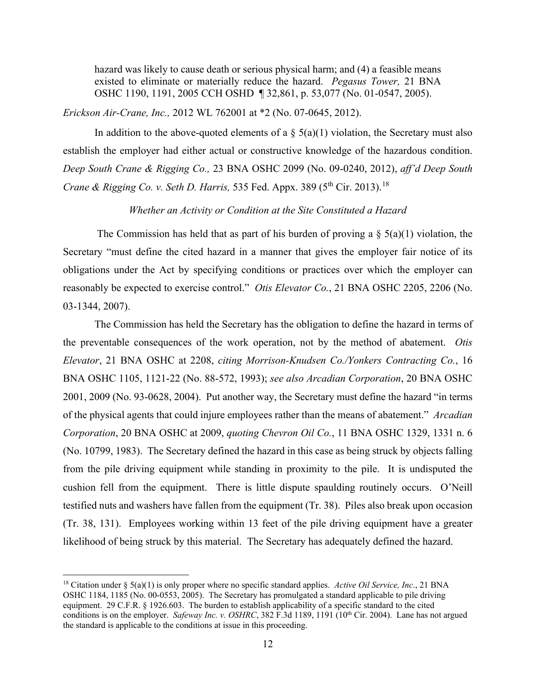hazard was likely to cause death or serious physical harm; and (4) a feasible means existed to eliminate or materially reduce the hazard. *Pegasus Tower,* 21 BNA OSHC 1190, 1191, 2005 CCH OSHD ¶ 32,861, p. 53,077 (No. 01-0547, 2005).

*Erickson Air-Crane, Inc.,* 2012 WL 762001 at \*2 (No. 07-0645, 2012).

In addition to the above-quoted elements of a  $\S$  5(a)(1) violation, the Secretary must also establish the employer had either actual or constructive knowledge of the hazardous condition. *Deep South Crane & Rigging Co.,* 23 BNA OSHC 2099 (No. 09-0240, 2012), *aff'd Deep South Crane & Rigging Co. v. Seth D. Harris, 535 Fed. Appx. 389 (5<sup>th</sup> Cir. 2013).*<sup>18</sup>

## *Whether an Activity or Condition at the Site Constituted a Hazard*

The Commission has held that as part of his burden of proving a  $\S$  5(a)(1) violation, the Secretary "must define the cited hazard in a manner that gives the employer fair notice of its obligations under the Act by specifying conditions or practices over which the employer can reasonably be expected to exercise control." *Otis Elevator Co.*, 21 BNA OSHC 2205, 2206 (No. 03-1344, 2007).

 The Commission has held the Secretary has the obligation to define the hazard in terms of the preventable consequences of the work operation, not by the method of abatement. *Otis Elevator*, 21 BNA OSHC at 2208, *citing Morrison-Knudsen Co./Yonkers Contracting Co.*, 16 BNA OSHC 1105, 1121-22 (No. 88-572, 1993); *see also Arcadian Corporation*, 20 BNA OSHC 2001, 2009 (No. 93-0628, 2004). Put another way, the Secretary must define the hazard "in terms of the physical agents that could injure employees rather than the means of abatement." *Arcadian Corporation*, 20 BNA OSHC at 2009, *quoting Chevron Oil Co.*, 11 BNA OSHC 1329, 1331 n. 6 (No. 10799, 1983). The Secretary defined the hazard in this case as being struck by objects falling from the pile driving equipment while standing in proximity to the pile. It is undisputed the cushion fell from the equipment. There is little dispute spaulding routinely occurs. O'Neill testified nuts and washers have fallen from the equipment (Tr. 38). Piles also break upon occasion (Tr. 38, 131). Employees working within 13 feet of the pile driving equipment have a greater likelihood of being struck by this material. The Secretary has adequately defined the hazard.

<span id="page-11-0"></span><sup>18</sup> Citation under § 5(a)(1) is only proper where no specific standard applies. *Active Oil Service, Inc*., 21 BNA OSHC 1184, 1185 (No. 00-0553, 2005). The Secretary has promulgated a standard applicable to pile driving equipment. 29 C.F.R. § 1926.603. The burden to establish applicability of a specific standard to the cited conditions is on the employer. *Safeway Inc. v. OSHRC*, 382 F.3d 1189, 1191 (10<sup>th</sup> Cir. 2004). Lane has not argued the standard is applicable to the conditions at issue in this proceeding.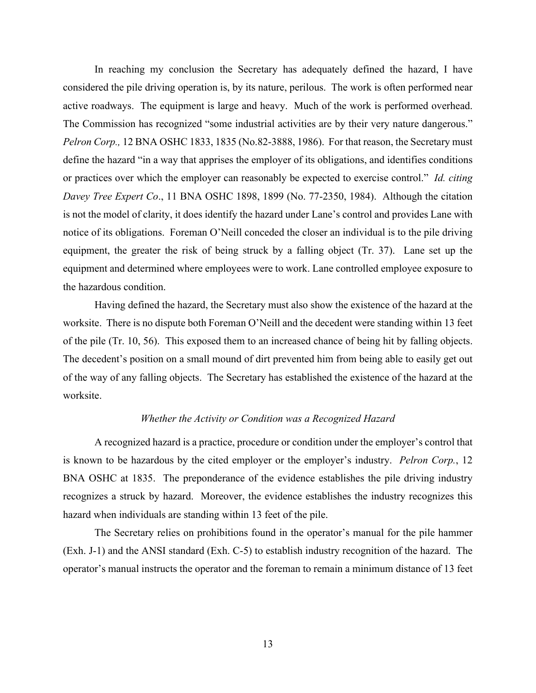In reaching my conclusion the Secretary has adequately defined the hazard, I have considered the pile driving operation is, by its nature, perilous. The work is often performed near active roadways. The equipment is large and heavy. Much of the work is performed overhead. The Commission has recognized "some industrial activities are by their very nature dangerous." *Pelron Corp.,* 12 BNA OSHC 1833, 1835 (No.82-3888, 1986). For that reason, the Secretary must define the hazard "in a way that apprises the employer of its obligations, and identifies conditions or practices over which the employer can reasonably be expected to exercise control." *Id. citing Davey Tree Expert Co*., 11 BNA OSHC 1898, 1899 (No. 77-2350, 1984). Although the citation is not the model of clarity, it does identify the hazard under Lane's control and provides Lane with notice of its obligations. Foreman O'Neill conceded the closer an individual is to the pile driving equipment, the greater the risk of being struck by a falling object (Tr. 37). Lane set up the equipment and determined where employees were to work. Lane controlled employee exposure to the hazardous condition.

Having defined the hazard, the Secretary must also show the existence of the hazard at the worksite. There is no dispute both Foreman O'Neill and the decedent were standing within 13 feet of the pile (Tr. 10, 56). This exposed them to an increased chance of being hit by falling objects. The decedent's position on a small mound of dirt prevented him from being able to easily get out of the way of any falling objects. The Secretary has established the existence of the hazard at the worksite.

## *Whether the Activity or Condition was a Recognized Hazard*

A recognized hazard is a practice, procedure or condition under the employer's control that is known to be hazardous by the cited employer or the employer's industry. *Pelron Corp.*, 12 BNA OSHC at 1835. The preponderance of the evidence establishes the pile driving industry recognizes a struck by hazard. Moreover, the evidence establishes the industry recognizes this hazard when individuals are standing within 13 feet of the pile.

The Secretary relies on prohibitions found in the operator's manual for the pile hammer (Exh. J-1) and the ANSI standard (Exh. C-5) to establish industry recognition of the hazard. The operator's manual instructs the operator and the foreman to remain a minimum distance of 13 feet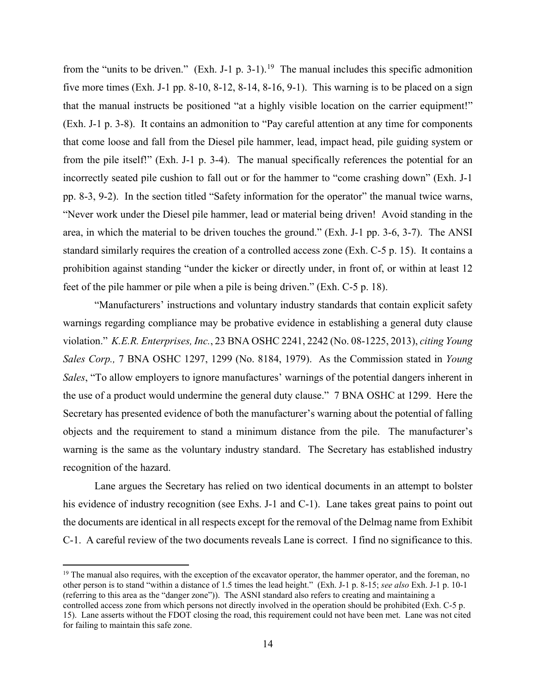from the "units to be driven." (Exh. J-1 p. 3-1).<sup>[19](#page-13-0)</sup> The manual includes this specific admonition five more times (Exh. J-1 pp. 8-10, 8-12, 8-14, 8-16, 9-1). This warning is to be placed on a sign that the manual instructs be positioned "at a highly visible location on the carrier equipment!" (Exh. J-1 p. 3-8). It contains an admonition to "Pay careful attention at any time for components that come loose and fall from the Diesel pile hammer, lead, impact head, pile guiding system or from the pile itself!" (Exh. J-1 p. 3-4). The manual specifically references the potential for an incorrectly seated pile cushion to fall out or for the hammer to "come crashing down" (Exh. J-1 pp. 8-3, 9-2). In the section titled "Safety information for the operator" the manual twice warns, "Never work under the Diesel pile hammer, lead or material being driven! Avoid standing in the area, in which the material to be driven touches the ground." (Exh. J-1 pp. 3-6, 3-7). The ANSI standard similarly requires the creation of a controlled access zone (Exh. C-5 p. 15). It contains a prohibition against standing "under the kicker or directly under, in front of, or within at least 12 feet of the pile hammer or pile when a pile is being driven." (Exh. C-5 p. 18).

"Manufacturers' instructions and voluntary industry standards that contain explicit safety warnings regarding compliance may be probative evidence in establishing a general duty clause violation." *K.E.R. Enterprises, Inc.*, 23 BNA OSHC 2241, 2242 (No. 08-1225, 2013), *citing Young Sales Corp.,* 7 BNA OSHC 1297, 1299 (No. 8184, 1979). As the Commission stated in *Young Sales*, "To allow employers to ignore manufactures' warnings of the potential dangers inherent in the use of a product would undermine the general duty clause." 7 BNA OSHC at 1299. Here the Secretary has presented evidence of both the manufacturer's warning about the potential of falling objects and the requirement to stand a minimum distance from the pile. The manufacturer's warning is the same as the voluntary industry standard. The Secretary has established industry recognition of the hazard.

Lane argues the Secretary has relied on two identical documents in an attempt to bolster his evidence of industry recognition (see Exhs. J-1 and C-1). Lane takes great pains to point out the documents are identical in all respects except for the removal of the Delmag name from Exhibit C-1. A careful review of the two documents reveals Lane is correct. I find no significance to this.

<span id="page-13-0"></span> $19$  The manual also requires, with the exception of the excavator operator, the hammer operator, and the foreman, no other person is to stand "within a distance of 1.5 times the lead height." (Exh. J-1 p. 8-15; *see also* Exh. J-1 p. 10-1 (referring to this area as the "danger zone")). The ASNI standard also refers to creating and maintaining a

controlled access zone from which persons not directly involved in the operation should be prohibited (Exh. C-5 p. 15). Lane asserts without the FDOT closing the road, this requirement could not have been met. Lane was not cited for failing to maintain this safe zone.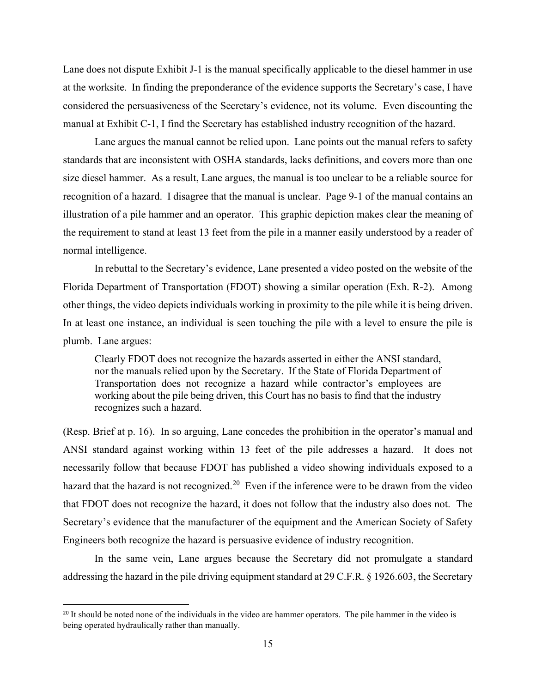Lane does not dispute Exhibit J-1 is the manual specifically applicable to the diesel hammer in use at the worksite. In finding the preponderance of the evidence supports the Secretary's case, I have considered the persuasiveness of the Secretary's evidence, not its volume. Even discounting the manual at Exhibit C-1, I find the Secretary has established industry recognition of the hazard.

Lane argues the manual cannot be relied upon. Lane points out the manual refers to safety standards that are inconsistent with OSHA standards, lacks definitions, and covers more than one size diesel hammer. As a result, Lane argues, the manual is too unclear to be a reliable source for recognition of a hazard. I disagree that the manual is unclear. Page 9-1 of the manual contains an illustration of a pile hammer and an operator. This graphic depiction makes clear the meaning of the requirement to stand at least 13 feet from the pile in a manner easily understood by a reader of normal intelligence.

In rebuttal to the Secretary's evidence, Lane presented a video posted on the website of the Florida Department of Transportation (FDOT) showing a similar operation (Exh. R-2). Among other things, the video depicts individuals working in proximity to the pile while it is being driven. In at least one instance, an individual is seen touching the pile with a level to ensure the pile is plumb. Lane argues:

Clearly FDOT does not recognize the hazards asserted in either the ANSI standard, nor the manuals relied upon by the Secretary. If the State of Florida Department of Transportation does not recognize a hazard while contractor's employees are working about the pile being driven, this Court has no basis to find that the industry recognizes such a hazard.

(Resp. Brief at p. 16). In so arguing, Lane concedes the prohibition in the operator's manual and ANSI standard against working within 13 feet of the pile addresses a hazard. It does not necessarily follow that because FDOT has published a video showing individuals exposed to a hazard that the hazard is not recognized.<sup>[20](#page-14-0)</sup> Even if the inference were to be drawn from the video that FDOT does not recognize the hazard, it does not follow that the industry also does not. The Secretary's evidence that the manufacturer of the equipment and the American Society of Safety Engineers both recognize the hazard is persuasive evidence of industry recognition.

In the same vein, Lane argues because the Secretary did not promulgate a standard addressing the hazard in the pile driving equipment standard at 29 C.F.R. § 1926.603, the Secretary

<span id="page-14-0"></span><sup>&</sup>lt;sup>20</sup> It should be noted none of the individuals in the video are hammer operators. The pile hammer in the video is being operated hydraulically rather than manually.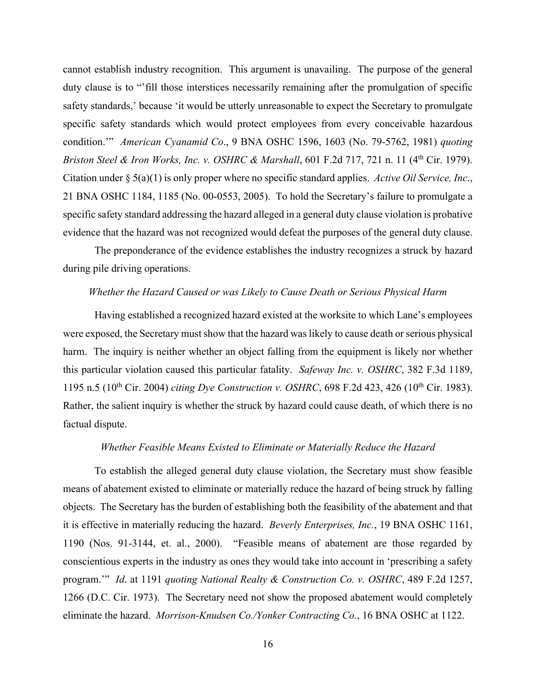cannot establish industry recognition. This argument is unavailing. The purpose of the general duty clause is to "'fill those interstices necessarily remaining after the promulgation of specific safety standards,' because 'it would be utterly unreasonable to expect the Secretary to promulgate specific safety standards which would protect employees from every conceivable hazardous condition.'" *American Cyanamid Co*., 9 BNA OSHC 1596, 1603 (No. 79-5762, 1981) *quoting Briston Steel & Iron Works, Inc. v. OSHRC & Marshall, 601 F.2d 717, 721 n. 11 (4<sup>th</sup> Cir. 1979).* Citation under § 5(a)(1) is only proper where no specific standard applies. *Active Oil Service, Inc*., 21 BNA OSHC 1184, 1185 (No. 00-0553, 2005). To hold the Secretary's failure to promulgate a specific safety standard addressing the hazard alleged in a general duty clause violation is probative evidence that the hazard was not recognized would defeat the purposes of the general duty clause.

The preponderance of the evidence establishes the industry recognizes a struck by hazard during pile driving operations.

### *Whether the Hazard Caused or was Likely to Cause Death or Serious Physical Harm*

Having established a recognized hazard existed at the worksite to which Lane's employees were exposed, the Secretary must show that the hazard was likely to cause death or serious physical harm. The inquiry is neither whether an object falling from the equipment is likely nor whether this particular violation caused this particular fatality. *Safeway Inc. v. OSHRC*, 382 F.3d 1189, 1195 n.5 (10<sup>th</sup> Cir. 2004) *citing Dye Construction v. OSHRC*, 698 F.2d 423, 426 (10<sup>th</sup> Cir. 1983). Rather, the salient inquiry is whether the struck by hazard could cause death, of which there is no factual dispute.

# *Whether Feasible Means Existed to Eliminate or Materially Reduce the Hazard*

To establish the alleged general duty clause violation, the Secretary must show feasible means of abatement existed to eliminate or materially reduce the hazard of being struck by falling objects. The Secretary has the burden of establishing both the feasibility of the abatement and that it is effective in materially reducing the hazard. *Beverly Enterprises, Inc.*, 19 BNA OSHC 1161, 1190 (Nos. 91-3144, et. al., 2000). "Feasible means of abatement are those regarded by conscientious experts in the industry as ones they would take into account in 'prescribing a safety program.'" *Id*. at 1191 *quoting National Realty & Construction Co. v. OSHRC*, 489 F.2d 1257, 1266 (D.C. Cir. 1973). The Secretary need not show the proposed abatement would completely eliminate the hazard. *Morrison-Knudsen Co./Yonker Contracting Co.*, 16 BNA OSHC at 1122.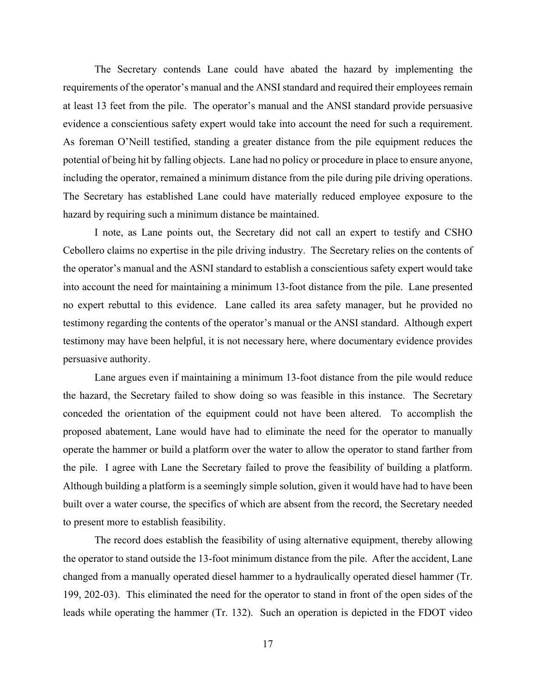The Secretary contends Lane could have abated the hazard by implementing the requirements of the operator's manual and the ANSI standard and required their employees remain at least 13 feet from the pile. The operator's manual and the ANSI standard provide persuasive evidence a conscientious safety expert would take into account the need for such a requirement. As foreman O'Neill testified, standing a greater distance from the pile equipment reduces the potential of being hit by falling objects. Lane had no policy or procedure in place to ensure anyone, including the operator, remained a minimum distance from the pile during pile driving operations. The Secretary has established Lane could have materially reduced employee exposure to the hazard by requiring such a minimum distance be maintained.

I note, as Lane points out, the Secretary did not call an expert to testify and CSHO Cebollero claims no expertise in the pile driving industry. The Secretary relies on the contents of the operator's manual and the ASNI standard to establish a conscientious safety expert would take into account the need for maintaining a minimum 13-foot distance from the pile. Lane presented no expert rebuttal to this evidence. Lane called its area safety manager, but he provided no testimony regarding the contents of the operator's manual or the ANSI standard. Although expert testimony may have been helpful, it is not necessary here, where documentary evidence provides persuasive authority.

Lane argues even if maintaining a minimum 13-foot distance from the pile would reduce the hazard, the Secretary failed to show doing so was feasible in this instance. The Secretary conceded the orientation of the equipment could not have been altered. To accomplish the proposed abatement, Lane would have had to eliminate the need for the operator to manually operate the hammer or build a platform over the water to allow the operator to stand farther from the pile. I agree with Lane the Secretary failed to prove the feasibility of building a platform. Although building a platform is a seemingly simple solution, given it would have had to have been built over a water course, the specifics of which are absent from the record, the Secretary needed to present more to establish feasibility.

The record does establish the feasibility of using alternative equipment, thereby allowing the operator to stand outside the 13-foot minimum distance from the pile. After the accident, Lane changed from a manually operated diesel hammer to a hydraulically operated diesel hammer (Tr. 199, 202-03). This eliminated the need for the operator to stand in front of the open sides of the leads while operating the hammer (Tr. 132). Such an operation is depicted in the FDOT video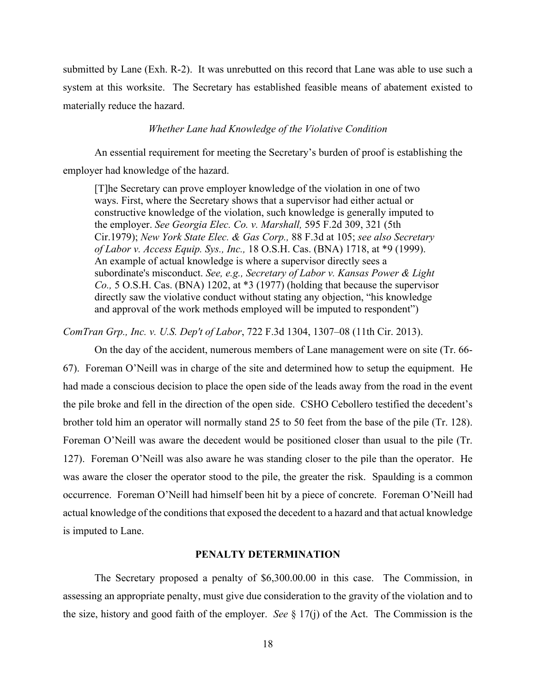submitted by Lane (Exh. R-2). It was unrebutted on this record that Lane was able to use such a system at this worksite. The Secretary has established feasible means of abatement existed to materially reduce the hazard.

### *Whether Lane had Knowledge of the Violative Condition*

An essential requirement for meeting the Secretary's burden of proof is establishing the employer had knowledge of the hazard.

[T]he Secretary can prove employer knowledge of the violation in one of two ways. First, where the Secretary shows that a supervisor had either actual or constructive knowledge of the violation, such knowledge is generally imputed to the employer. *See Georgia Elec. Co. v. Marshall,* 595 F.2d 309, 321 (5th Cir.1979); *New York State Elec. & Gas Corp.,* 88 F.3d at 105; *see also Secretary of Labor v. Access Equip. Sys., Inc.,* 18 O.S.H. Cas. (BNA) 1718, at \*9 (1999). An example of actual knowledge is where a supervisor directly sees a subordinate's misconduct. *See, e.g., Secretary of Labor v. Kansas Power & Light Co.,* 5 O.S.H. Cas. (BNA) 1202, at \*3 (1977) (holding that because the supervisor directly saw the violative conduct without stating any objection, "his knowledge and approval of the work methods employed will be imputed to respondent")

*ComTran Grp., Inc. v. U.S. Dep't of Labor*, 722 F.3d 1304, 1307–08 (11th Cir. 2013).

 On the day of the accident, numerous members of Lane management were on site (Tr. 66- 67). Foreman O'Neill was in charge of the site and determined how to setup the equipment. He had made a conscious decision to place the open side of the leads away from the road in the event the pile broke and fell in the direction of the open side. CSHO Cebollero testified the decedent's brother told him an operator will normally stand 25 to 50 feet from the base of the pile (Tr. 128). Foreman O'Neill was aware the decedent would be positioned closer than usual to the pile (Tr. 127). Foreman O'Neill was also aware he was standing closer to the pile than the operator. He was aware the closer the operator stood to the pile, the greater the risk. Spaulding is a common occurrence. Foreman O'Neill had himself been hit by a piece of concrete. Foreman O'Neill had actual knowledge of the conditions that exposed the decedent to a hazard and that actual knowledge is imputed to Lane.

### **PENALTY DETERMINATION**

The Secretary proposed a penalty of \$6,300.00.00 in this case. The Commission, in assessing an appropriate penalty, must give due consideration to the gravity of the violation and to the size, history and good faith of the employer. *See* § 17(j) of the Act. The Commission is the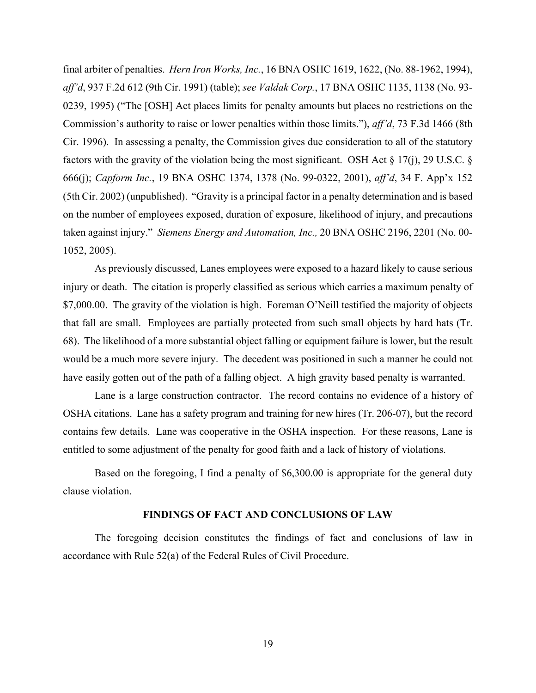final arbiter of penalties. *Hern Iron Works, Inc.*, 16 BNA OSHC 1619, 1622, (No. 88-1962, 1994), *aff'd*, 937 F.2d 612 (9th Cir. 1991) (table); *see Valdak Corp.*, 17 BNA OSHC 1135, 1138 (No. 93- 0239, 1995) ("The [OSH] Act places limits for penalty amounts but places no restrictions on the Commission's authority to raise or lower penalties within those limits."), *aff'd*, 73 F.3d 1466 (8th Cir. 1996). In assessing a penalty, the Commission gives due consideration to all of the statutory factors with the gravity of the violation being the most significant. OSH Act  $\S 17(i)$ , 29 U.S.C.  $\S$ 666(j); *Capform Inc.*, 19 BNA OSHC 1374, 1378 (No. 99-0322, 2001), *aff'd*, 34 F. App'x 152 (5th Cir. 2002) (unpublished). "Gravity is a principal factor in a penalty determination and is based on the number of employees exposed, duration of exposure, likelihood of injury, and precautions taken against injury." *Siemens Energy and Automation, Inc.,* 20 BNA OSHC 2196, 2201 (No. 00- 1052, 2005).

As previously discussed, Lanes employees were exposed to a hazard likely to cause serious injury or death. The citation is properly classified as serious which carries a maximum penalty of \$7,000.00. The gravity of the violation is high. Foreman O'Neill testified the majority of objects that fall are small. Employees are partially protected from such small objects by hard hats (Tr. 68). The likelihood of a more substantial object falling or equipment failure is lower, but the result would be a much more severe injury. The decedent was positioned in such a manner he could not have easily gotten out of the path of a falling object. A high gravity based penalty is warranted.

Lane is a large construction contractor. The record contains no evidence of a history of OSHA citations. Lane has a safety program and training for new hires (Tr. 206-07), but the record contains few details. Lane was cooperative in the OSHA inspection. For these reasons, Lane is entitled to some adjustment of the penalty for good faith and a lack of history of violations.

Based on the foregoing, I find a penalty of \$6,300.00 is appropriate for the general duty clause violation.

### **FINDINGS OF FACT AND CONCLUSIONS OF LAW**

The foregoing decision constitutes the findings of fact and conclusions of law in accordance with Rule 52(a) of the Federal Rules of Civil Procedure.